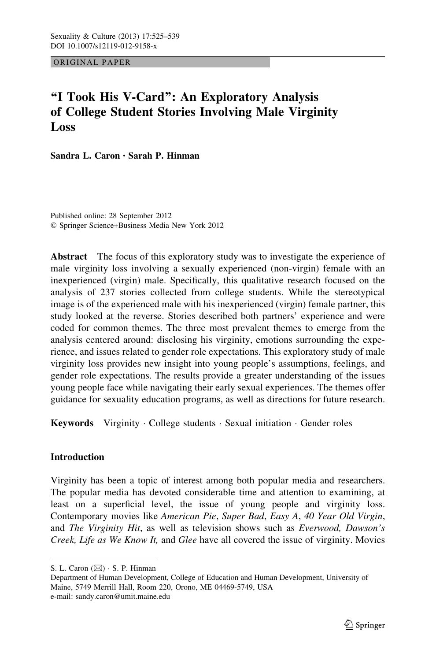ORIGINAL PAPER

# ''I Took His V-Card'': An Exploratory Analysis of College Student Stories Involving Male Virginity Loss

Sandra L. Caron • Sarah P. Hinman

Published online: 28 September 2012 - Springer Science+Business Media New York 2012

Abstract The focus of this exploratory study was to investigate the experience of male virginity loss involving a sexually experienced (non-virgin) female with an inexperienced (virgin) male. Specifically, this qualitative research focused on the analysis of 237 stories collected from college students. While the stereotypical image is of the experienced male with his inexperienced (virgin) female partner, this study looked at the reverse. Stories described both partners' experience and were coded for common themes. The three most prevalent themes to emerge from the analysis centered around: disclosing his virginity, emotions surrounding the experience, and issues related to gender role expectations. This exploratory study of male virginity loss provides new insight into young people's assumptions, feelings, and gender role expectations. The results provide a greater understanding of the issues young people face while navigating their early sexual experiences. The themes offer guidance for sexuality education programs, as well as directions for future research.

Keywords Virginity · College students · Sexual initiation · Gender roles

# **Introduction**

Virginity has been a topic of interest among both popular media and researchers. The popular media has devoted considerable time and attention to examining, at least on a superficial level, the issue of young people and virginity loss. Contemporary movies like American Pie, Super Bad, Easy A, 40 Year Old Virgin, and The Virginity Hit, as well as television shows such as Everwood, Dawson's Creek, Life as We Know It, and Glee have all covered the issue of virginity. Movies

S. L. Caron  $(\boxtimes) \cdot$  S. P. Hinman

Department of Human Development, College of Education and Human Development, University of Maine, 5749 Merrill Hall, Room 220, Orono, ME 04469-5749, USA e-mail: sandy.caron@umit.maine.edu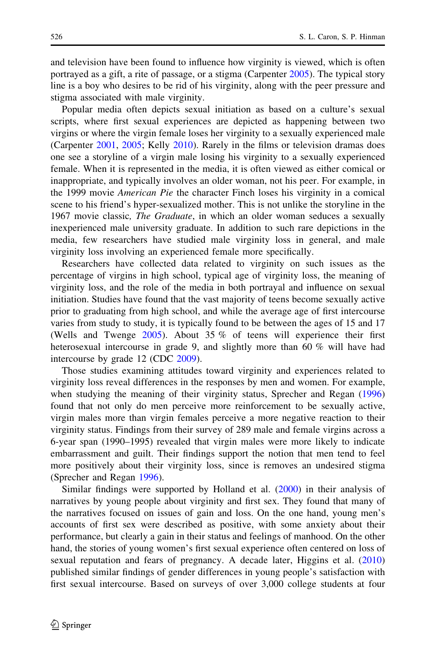and television have been found to influence how virginity is viewed, which is often portrayed as a gift, a rite of passage, or a stigma (Carpenter [2005\)](#page-13-0). The typical story line is a boy who desires to be rid of his virginity, along with the peer pressure and stigma associated with male virginity.

Popular media often depicts sexual initiation as based on a culture's sexual scripts, where first sexual experiences are depicted as happening between two virgins or where the virgin female loses her virginity to a sexually experienced male (Carpenter [2001](#page-13-0), [2005;](#page-13-0) Kelly [2010\)](#page-14-0). Rarely in the films or television dramas does one see a storyline of a virgin male losing his virginity to a sexually experienced female. When it is represented in the media, it is often viewed as either comical or inappropriate, and typically involves an older woman, not his peer. For example, in the 1999 movie American Pie the character Finch loses his virginity in a comical scene to his friend's hyper-sexualized mother. This is not unlike the storyline in the 1967 movie classic, The Graduate, in which an older woman seduces a sexually inexperienced male university graduate. In addition to such rare depictions in the media, few researchers have studied male virginity loss in general, and male virginity loss involving an experienced female more specifically.

Researchers have collected data related to virginity on such issues as the percentage of virgins in high school, typical age of virginity loss, the meaning of virginity loss, and the role of the media in both portrayal and influence on sexual initiation. Studies have found that the vast majority of teens become sexually active prior to graduating from high school, and while the average age of first intercourse varies from study to study, it is typically found to be between the ages of 15 and 17 (Wells and Twenge [2005](#page-14-0)). About 35 % of teens will experience their first heterosexual intercourse in grade 9, and slightly more than 60 % will have had intercourse by grade 12 (CDC [2009](#page-13-0)).

Those studies examining attitudes toward virginity and experiences related to virginity loss reveal differences in the responses by men and women. For example, when studying the meaning of their virginity status, Sprecher and Regan [\(1996](#page-14-0)) found that not only do men perceive more reinforcement to be sexually active, virgin males more than virgin females perceive a more negative reaction to their virginity status. Findings from their survey of 289 male and female virgins across a 6-year span (1990–1995) revealed that virgin males were more likely to indicate embarrassment and guilt. Their findings support the notion that men tend to feel more positively about their virginity loss, since is removes an undesired stigma (Sprecher and Regan [1996\)](#page-14-0).

Similar findings were supported by Holland et al. ([2000\)](#page-13-0) in their analysis of narratives by young people about virginity and first sex. They found that many of the narratives focused on issues of gain and loss. On the one hand, young men's accounts of first sex were described as positive, with some anxiety about their performance, but clearly a gain in their status and feelings of manhood. On the other hand, the stories of young women's first sexual experience often centered on loss of sexual reputation and fears of pregnancy. A decade later, Higgins et al. [\(2010](#page-13-0)) published similar findings of gender differences in young people's satisfaction with first sexual intercourse. Based on surveys of over 3,000 college students at four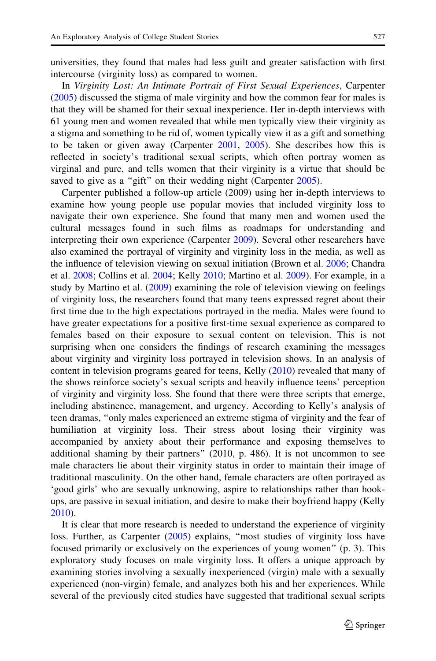universities, they found that males had less guilt and greater satisfaction with first intercourse (virginity loss) as compared to women.

In Virginity Lost: An Intimate Portrait of First Sexual Experiences, Carpenter [\(2005](#page-13-0)) discussed the stigma of male virginity and how the common fear for males is that they will be shamed for their sexual inexperience. Her in-depth interviews with 61 young men and women revealed that while men typically view their virginity as a stigma and something to be rid of, women typically view it as a gift and something to be taken or given away (Carpenter [2001,](#page-13-0) [2005](#page-13-0)). She describes how this is reflected in society's traditional sexual scripts, which often portray women as virginal and pure, and tells women that their virginity is a virtue that should be saved to give as a "gift" on their wedding night (Carpenter [2005](#page-13-0)).

Carpenter published a follow-up article (2009) using her in-depth interviews to examine how young people use popular movies that included virginity loss to navigate their own experience. She found that many men and women used the cultural messages found in such films as roadmaps for understanding and interpreting their own experience (Carpenter [2009](#page-13-0)). Several other researchers have also examined the portrayal of virginity and virginity loss in the media, as well as the influence of television viewing on sexual initiation (Brown et al. [2006;](#page-13-0) Chandra et al. [2008;](#page-13-0) Collins et al. [2004](#page-13-0); Kelly [2010;](#page-14-0) Martino et al. [2009](#page-14-0)). For example, in a study by Martino et al. ([2009\)](#page-14-0) examining the role of television viewing on feelings of virginity loss, the researchers found that many teens expressed regret about their first time due to the high expectations portrayed in the media. Males were found to have greater expectations for a positive first-time sexual experience as compared to females based on their exposure to sexual content on television. This is not surprising when one considers the findings of research examining the messages about virginity and virginity loss portrayed in television shows. In an analysis of content in television programs geared for teens, Kelly [\(2010](#page-14-0)) revealed that many of the shows reinforce society's sexual scripts and heavily influence teens' perception of virginity and virginity loss. She found that there were three scripts that emerge, including abstinence, management, and urgency. According to Kelly's analysis of teen dramas, ''only males experienced an extreme stigma of virginity and the fear of humiliation at virginity loss. Their stress about losing their virginity was accompanied by anxiety about their performance and exposing themselves to additional shaming by their partners'' (2010, p. 486). It is not uncommon to see male characters lie about their virginity status in order to maintain their image of traditional masculinity. On the other hand, female characters are often portrayed as 'good girls' who are sexually unknowing, aspire to relationships rather than hookups, are passive in sexual initiation, and desire to make their boyfriend happy (Kelly [2010\)](#page-14-0).

It is clear that more research is needed to understand the experience of virginity loss. Further, as Carpenter [\(2005](#page-13-0)) explains, ''most studies of virginity loss have focused primarily or exclusively on the experiences of young women'' (p. 3). This exploratory study focuses on male virginity loss. It offers a unique approach by examining stories involving a sexually inexperienced (virgin) male with a sexually experienced (non-virgin) female, and analyzes both his and her experiences. While several of the previously cited studies have suggested that traditional sexual scripts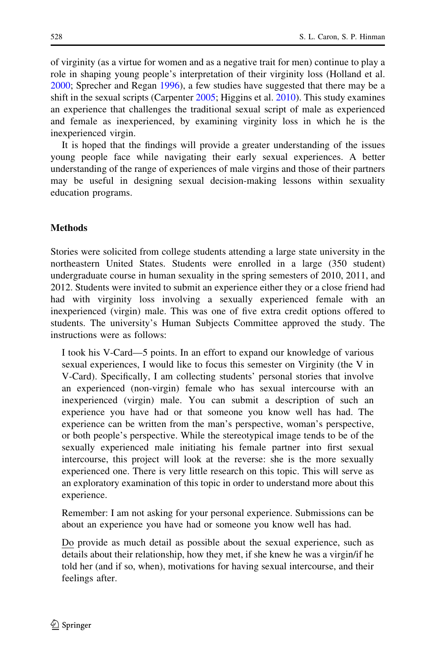of virginity (as a virtue for women and as a negative trait for men) continue to play a role in shaping young people's interpretation of their virginity loss (Holland et al. [2000;](#page-13-0) Sprecher and Regan [1996](#page-14-0)), a few studies have suggested that there may be a shift in the sexual scripts (Carpenter [2005](#page-13-0); Higgins et al. [2010](#page-13-0)). This study examines an experience that challenges the traditional sexual script of male as experienced and female as inexperienced, by examining virginity loss in which he is the inexperienced virgin.

It is hoped that the findings will provide a greater understanding of the issues young people face while navigating their early sexual experiences. A better understanding of the range of experiences of male virgins and those of their partners may be useful in designing sexual decision-making lessons within sexuality education programs.

### Methods

Stories were solicited from college students attending a large state university in the northeastern United States. Students were enrolled in a large (350 student) undergraduate course in human sexuality in the spring semesters of 2010, 2011, and 2012. Students were invited to submit an experience either they or a close friend had had with virginity loss involving a sexually experienced female with an inexperienced (virgin) male. This was one of five extra credit options offered to students. The university's Human Subjects Committee approved the study. The instructions were as follows:

I took his V-Card—5 points. In an effort to expand our knowledge of various sexual experiences, I would like to focus this semester on Virginity (the V in V-Card). Specifically, I am collecting students' personal stories that involve an experienced (non-virgin) female who has sexual intercourse with an inexperienced (virgin) male. You can submit a description of such an experience you have had or that someone you know well has had. The experience can be written from the man's perspective, woman's perspective, or both people's perspective. While the stereotypical image tends to be of the sexually experienced male initiating his female partner into first sexual intercourse, this project will look at the reverse: she is the more sexually experienced one. There is very little research on this topic. This will serve as an exploratory examination of this topic in order to understand more about this experience.

Remember: I am not asking for your personal experience. Submissions can be about an experience you have had or someone you know well has had.

Do provide as much detail as possible about the sexual experience, such as details about their relationship, how they met, if she knew he was a virgin/if he told her (and if so, when), motivations for having sexual intercourse, and their feelings after.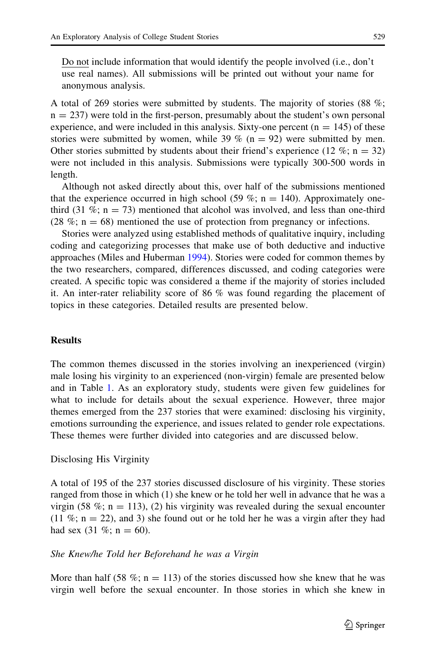Do not include information that would identify the people involved (i.e., don't use real names). All submissions will be printed out without your name for anonymous analysis.

A total of 269 stories were submitted by students. The majority of stories (88 %;  $n = 237$ ) were told in the first-person, presumably about the student's own personal experience, and were included in this analysis. Sixty-one percent  $(n = 145)$  of these stories were submitted by women, while 39 % (n = 92) were submitted by men. Other stories submitted by students about their friend's experience (12 %; n = 32) were not included in this analysis. Submissions were typically 300-500 words in length.

Although not asked directly about this, over half of the submissions mentioned that the experience occurred in high school (59 %; n = 140). Approximately onethird (31 %;  $n = 73$ ) mentioned that alcohol was involved, and less than one-third (28 %;  $n = 68$ ) mentioned the use of protection from pregnancy or infections.

Stories were analyzed using established methods of qualitative inquiry, including coding and categorizing processes that make use of both deductive and inductive approaches (Miles and Huberman [1994\)](#page-14-0). Stories were coded for common themes by the two researchers, compared, differences discussed, and coding categories were created. A specific topic was considered a theme if the majority of stories included it. An inter-rater reliability score of 86 % was found regarding the placement of topics in these categories. Detailed results are presented below.

### Results

The common themes discussed in the stories involving an inexperienced (virgin) male losing his virginity to an experienced (non-virgin) female are presented below and in Table [1](#page-5-0). As an exploratory study, students were given few guidelines for what to include for details about the sexual experience. However, three major themes emerged from the 237 stories that were examined: disclosing his virginity, emotions surrounding the experience, and issues related to gender role expectations. These themes were further divided into categories and are discussed below.

#### Disclosing His Virginity

A total of 195 of the 237 stories discussed disclosure of his virginity. These stories ranged from those in which (1) she knew or he told her well in advance that he was a virgin (58 %;  $n = 113$ ), (2) his virginity was revealed during the sexual encounter  $(11 \, \%; n = 22)$ , and 3) she found out or he told her he was a virgin after they had had sex  $(31 \%; n = 60)$ .

#### She Knew/he Told her Beforehand he was a Virgin

More than half (58 %;  $n = 113$ ) of the stories discussed how she knew that he was virgin well before the sexual encounter. In those stories in which she knew in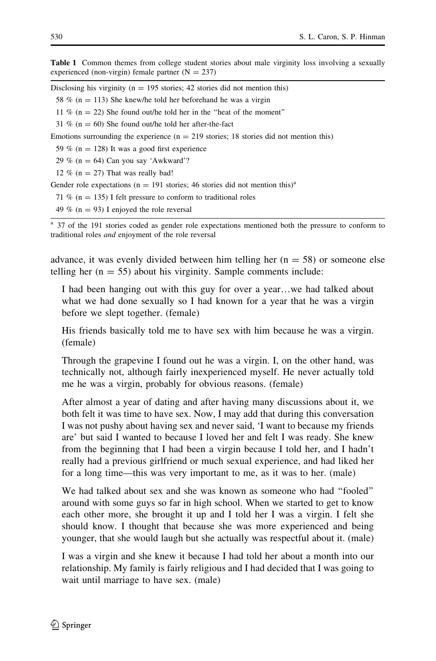<span id="page-5-0"></span>Table 1 Common themes from college student stories about male virginity loss involving a sexually experienced (non-virgin) female partner  $(N = 237)$ 

Disclosing his virginity ( $n = 195$  stories; 42 stories did not mention this)

58 % (n = 113) She knew/he told her beforehand he was a virgin

11 % ( $n = 22$ ) She found out/he told her in the "heat of the moment"

31 % ( $n = 60$ ) She found out/he told her after-the-fact

Emotions surrounding the experience  $(n = 219$  stories; 18 stories did not mention this)

59 % ( $n = 128$ ) It was a good first experience

29 % (n = 64) Can you say 'Awkward'?

12 % ( $n = 27$ ) That was really bad!

Gender role expectations (n = 191 stories; 46 stories did not mention this)<sup>a</sup>

71 % ( $n = 135$ ) I felt pressure to conform to traditional roles

49 % ( $n = 93$ ) I enjoyed the role reversal

<sup>a</sup> 37 of the 191 stories coded as gender role expectations mentioned both the pressure to conform to traditional roles and enjoyment of the role reversal

advance, it was evenly divided between him telling her  $(n = 58)$  or someone else telling her  $(n = 55)$  about his virginity. Sample comments include:

I had been hanging out with this guy for over a year…we had talked about what we had done sexually so I had known for a year that he was a virgin before we slept together. (female)

His friends basically told me to have sex with him because he was a virgin. (female)

Through the grapevine I found out he was a virgin. I, on the other hand, was technically not, although fairly inexperienced myself. He never actually told me he was a virgin, probably for obvious reasons. (female)

After almost a year of dating and after having many discussions about it, we both felt it was time to have sex. Now, I may add that during this conversation I was not pushy about having sex and never said, 'I want to because my friends are' but said I wanted to because I loved her and felt I was ready. She knew from the beginning that I had been a virgin because I told her, and I hadn't really had a previous girlfriend or much sexual experience, and had liked her for a long time—this was very important to me, as it was to her. (male)

We had talked about sex and she was known as someone who had ''fooled'' around with some guys so far in high school. When we started to get to know each other more, she brought it up and I told her I was a virgin. I felt she should know. I thought that because she was more experienced and being younger, that she would laugh but she actually was respectful about it. (male)

I was a virgin and she knew it because I had told her about a month into our relationship. My family is fairly religious and I had decided that I was going to wait until marriage to have sex. (male)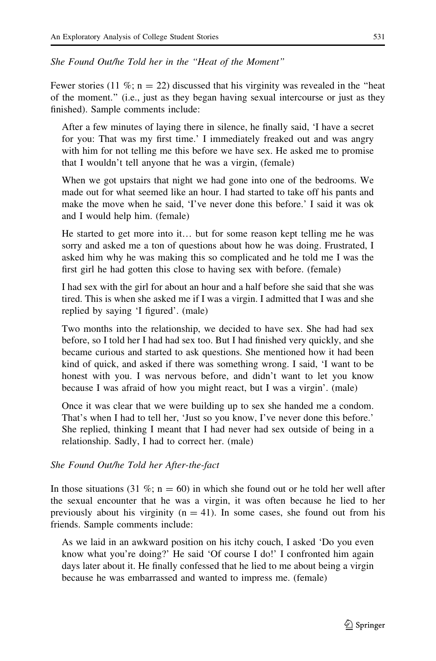She Found Out/he Told her in the ''Heat of the Moment''

Fewer stories (11 %;  $n = 22$ ) discussed that his virginity was revealed in the "heat of the moment.'' (i.e., just as they began having sexual intercourse or just as they finished). Sample comments include:

After a few minutes of laying there in silence, he finally said, 'I have a secret for you: That was my first time.' I immediately freaked out and was angry with him for not telling me this before we have sex. He asked me to promise that I wouldn't tell anyone that he was a virgin, (female)

When we got upstairs that night we had gone into one of the bedrooms. We made out for what seemed like an hour. I had started to take off his pants and make the move when he said, 'I've never done this before.' I said it was ok and I would help him. (female)

He started to get more into it… but for some reason kept telling me he was sorry and asked me a ton of questions about how he was doing. Frustrated, I asked him why he was making this so complicated and he told me I was the first girl he had gotten this close to having sex with before. (female)

I had sex with the girl for about an hour and a half before she said that she was tired. This is when she asked me if I was a virgin. I admitted that I was and she replied by saying 'I figured'. (male)

Two months into the relationship, we decided to have sex. She had had sex before, so I told her I had had sex too. But I had finished very quickly, and she became curious and started to ask questions. She mentioned how it had been kind of quick, and asked if there was something wrong. I said, 'I want to be honest with you. I was nervous before, and didn't want to let you know because I was afraid of how you might react, but I was a virgin'. (male)

Once it was clear that we were building up to sex she handed me a condom. That's when I had to tell her, 'Just so you know, I've never done this before.' She replied, thinking I meant that I had never had sex outside of being in a relationship. Sadly, I had to correct her. (male)

# She Found Out/he Told her After-the-fact

In those situations (31 %;  $n = 60$ ) in which she found out or he told her well after the sexual encounter that he was a virgin, it was often because he lied to her previously about his virginity  $(n = 41)$ . In some cases, she found out from his friends. Sample comments include:

As we laid in an awkward position on his itchy couch, I asked 'Do you even know what you're doing?' He said 'Of course I do!' I confronted him again days later about it. He finally confessed that he lied to me about being a virgin because he was embarrassed and wanted to impress me. (female)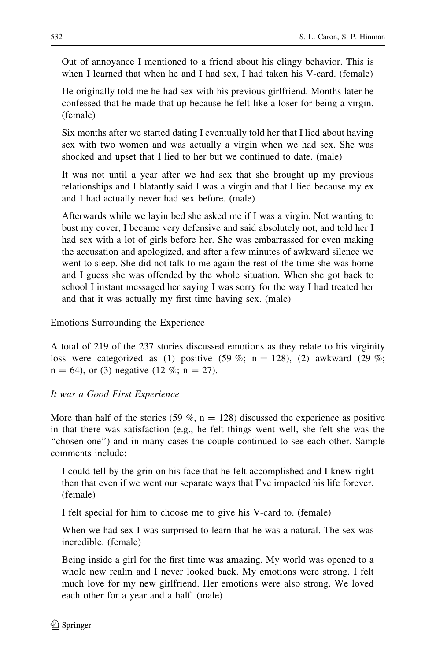Out of annoyance I mentioned to a friend about his clingy behavior. This is when I learned that when he and I had sex, I had taken his V-card. (female)

He originally told me he had sex with his previous girlfriend. Months later he confessed that he made that up because he felt like a loser for being a virgin. (female)

Six months after we started dating I eventually told her that I lied about having sex with two women and was actually a virgin when we had sex. She was shocked and upset that I lied to her but we continued to date. (male)

It was not until a year after we had sex that she brought up my previous relationships and I blatantly said I was a virgin and that I lied because my ex and I had actually never had sex before. (male)

Afterwards while we layin bed she asked me if I was a virgin. Not wanting to bust my cover, I became very defensive and said absolutely not, and told her I had sex with a lot of girls before her. She was embarrassed for even making the accusation and apologized, and after a few minutes of awkward silence we went to sleep. She did not talk to me again the rest of the time she was home and I guess she was offended by the whole situation. When she got back to school I instant messaged her saying I was sorry for the way I had treated her and that it was actually my first time having sex. (male)

Emotions Surrounding the Experience

A total of 219 of the 237 stories discussed emotions as they relate to his virginity loss were categorized as (1) positive (59 %; n = 128), (2) awkward (29 %;  $n = 64$ , or (3) negative (12 %;  $n = 27$ ).

It was a Good First Experience

More than half of the stories (59 %,  $n = 128$ ) discussed the experience as positive in that there was satisfaction (e.g., he felt things went well, she felt she was the "chosen one") and in many cases the couple continued to see each other. Sample comments include:

I could tell by the grin on his face that he felt accomplished and I knew right then that even if we went our separate ways that I've impacted his life forever. (female)

I felt special for him to choose me to give his V-card to. (female)

When we had sex I was surprised to learn that he was a natural. The sex was incredible. (female)

Being inside a girl for the first time was amazing. My world was opened to a whole new realm and I never looked back. My emotions were strong. I felt much love for my new girlfriend. Her emotions were also strong. We loved each other for a year and a half. (male)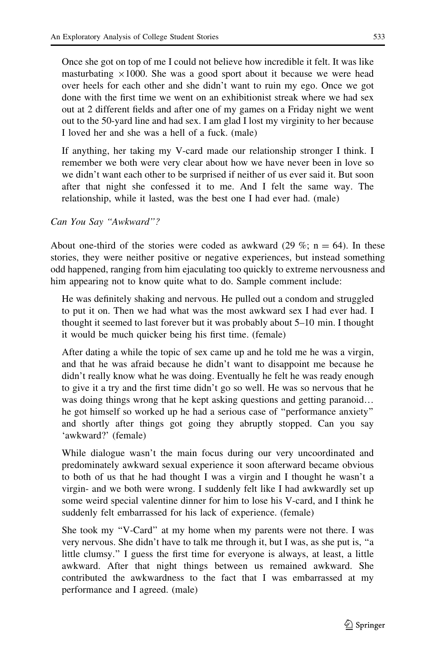Once she got on top of me I could not believe how incredible it felt. It was like masturbating  $\times 1000$ . She was a good sport about it because we were head over heels for each other and she didn't want to ruin my ego. Once we got done with the first time we went on an exhibitionist streak where we had sex out at 2 different fields and after one of my games on a Friday night we went out to the 50-yard line and had sex. I am glad I lost my virginity to her because I loved her and she was a hell of a fuck. (male)

If anything, her taking my V-card made our relationship stronger I think. I remember we both were very clear about how we have never been in love so we didn't want each other to be surprised if neither of us ever said it. But soon after that night she confessed it to me. And I felt the same way. The relationship, while it lasted, was the best one I had ever had. (male)

Can You Say ''Awkward''?

About one-third of the stories were coded as awkward (29 %;  $n = 64$ ). In these stories, they were neither positive or negative experiences, but instead something odd happened, ranging from him ejaculating too quickly to extreme nervousness and him appearing not to know quite what to do. Sample comment include:

He was definitely shaking and nervous. He pulled out a condom and struggled to put it on. Then we had what was the most awkward sex I had ever had. I thought it seemed to last forever but it was probably about 5–10 min. I thought it would be much quicker being his first time. (female)

After dating a while the topic of sex came up and he told me he was a virgin, and that he was afraid because he didn't want to disappoint me because he didn't really know what he was doing. Eventually he felt he was ready enough to give it a try and the first time didn't go so well. He was so nervous that he was doing things wrong that he kept asking questions and getting paranoid... he got himself so worked up he had a serious case of ''performance anxiety'' and shortly after things got going they abruptly stopped. Can you say 'awkward?' (female)

While dialogue wasn't the main focus during our very uncoordinated and predominately awkward sexual experience it soon afterward became obvious to both of us that he had thought I was a virgin and I thought he wasn't a virgin- and we both were wrong. I suddenly felt like I had awkwardly set up some weird special valentine dinner for him to lose his V-card, and I think he suddenly felt embarrassed for his lack of experience. (female)

She took my ''V-Card'' at my home when my parents were not there. I was very nervous. She didn't have to talk me through it, but I was, as she put is, ''a little clumsy.'' I guess the first time for everyone is always, at least, a little awkward. After that night things between us remained awkward. She contributed the awkwardness to the fact that I was embarrassed at my performance and I agreed. (male)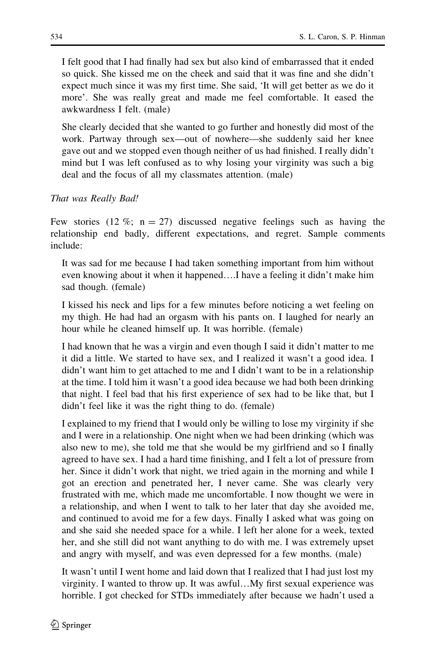I felt good that I had finally had sex but also kind of embarrassed that it ended so quick. She kissed me on the cheek and said that it was fine and she didn't expect much since it was my first time. She said, 'It will get better as we do it more'. She was really great and made me feel comfortable. It eased the awkwardness I felt. (male)

She clearly decided that she wanted to go further and honestly did most of the work. Partway through sex—out of nowhere—she suddenly said her knee gave out and we stopped even though neither of us had finished. I really didn't mind but I was left confused as to why losing your virginity was such a big deal and the focus of all my classmates attention. (male)

# That was Really Bad!

Few stories (12 %;  $n = 27$ ) discussed negative feelings such as having the relationship end badly, different expectations, and regret. Sample comments include:

It was sad for me because I had taken something important from him without even knowing about it when it happened….I have a feeling it didn't make him sad though. (female)

I kissed his neck and lips for a few minutes before noticing a wet feeling on my thigh. He had had an orgasm with his pants on. I laughed for nearly an hour while he cleaned himself up. It was horrible. (female)

I had known that he was a virgin and even though I said it didn't matter to me it did a little. We started to have sex, and I realized it wasn't a good idea. I didn't want him to get attached to me and I didn't want to be in a relationship at the time. I told him it wasn't a good idea because we had both been drinking that night. I feel bad that his first experience of sex had to be like that, but I didn't feel like it was the right thing to do. (female)

I explained to my friend that I would only be willing to lose my virginity if she and I were in a relationship. One night when we had been drinking (which was also new to me), she told me that she would be my girlfriend and so I finally agreed to have sex. I had a hard time finishing, and I felt a lot of pressure from her. Since it didn't work that night, we tried again in the morning and while I got an erection and penetrated her, I never came. She was clearly very frustrated with me, which made me uncomfortable. I now thought we were in a relationship, and when I went to talk to her later that day she avoided me, and continued to avoid me for a few days. Finally I asked what was going on and she said she needed space for a while. I left her alone for a week, texted her, and she still did not want anything to do with me. I was extremely upset and angry with myself, and was even depressed for a few months. (male)

It wasn't until I went home and laid down that I realized that I had just lost my virginity. I wanted to throw up. It was awful…My first sexual experience was horrible. I got checked for STDs immediately after because we hadn't used a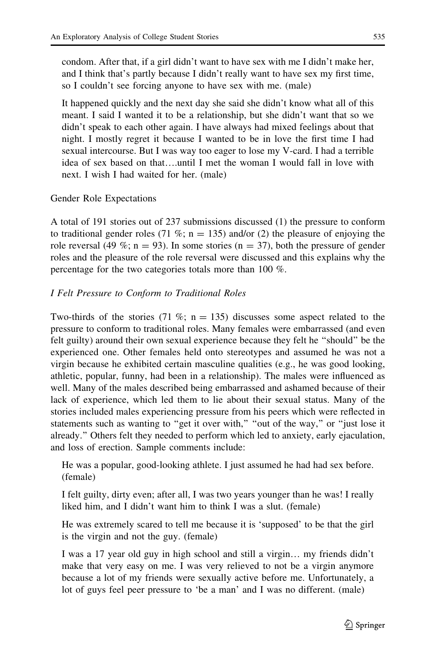condom. After that, if a girl didn't want to have sex with me I didn't make her, and I think that's partly because I didn't really want to have sex my first time, so I couldn't see forcing anyone to have sex with me. (male)

It happened quickly and the next day she said she didn't know what all of this meant. I said I wanted it to be a relationship, but she didn't want that so we didn't speak to each other again. I have always had mixed feelings about that night. I mostly regret it because I wanted to be in love the first time I had sexual intercourse. But I was way too eager to lose my V-card. I had a terrible idea of sex based on that….until I met the woman I would fall in love with next. I wish I had waited for her. (male)

### Gender Role Expectations

A total of 191 stories out of 237 submissions discussed (1) the pressure to conform to traditional gender roles (71 %;  $n = 135$ ) and/or (2) the pleasure of enjoying the role reversal (49 %; n = 93). In some stories (n = 37), both the pressure of gender roles and the pleasure of the role reversal were discussed and this explains why the percentage for the two categories totals more than 100 %.

# I Felt Pressure to Conform to Traditional Roles

Two-thirds of the stories (71 %;  $n = 135$ ) discusses some aspect related to the pressure to conform to traditional roles. Many females were embarrassed (and even felt guilty) around their own sexual experience because they felt he ''should'' be the experienced one. Other females held onto stereotypes and assumed he was not a virgin because he exhibited certain masculine qualities (e.g., he was good looking, athletic, popular, funny, had been in a relationship). The males were influenced as well. Many of the males described being embarrassed and ashamed because of their lack of experience, which led them to lie about their sexual status. Many of the stories included males experiencing pressure from his peers which were reflected in statements such as wanting to "get it over with," "out of the way," or "just lose it already.'' Others felt they needed to perform which led to anxiety, early ejaculation, and loss of erection. Sample comments include:

He was a popular, good-looking athlete. I just assumed he had had sex before. (female)

I felt guilty, dirty even; after all, I was two years younger than he was! I really liked him, and I didn't want him to think I was a slut. (female)

He was extremely scared to tell me because it is 'supposed' to be that the girl is the virgin and not the guy. (female)

I was a 17 year old guy in high school and still a virgin… my friends didn't make that very easy on me. I was very relieved to not be a virgin anymore because a lot of my friends were sexually active before me. Unfortunately, a lot of guys feel peer pressure to 'be a man' and I was no different. (male)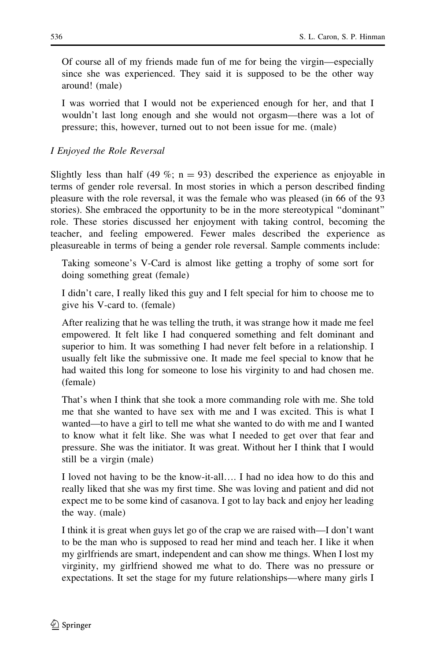Of course all of my friends made fun of me for being the virgin—especially since she was experienced. They said it is supposed to be the other way around! (male)

I was worried that I would not be experienced enough for her, and that I wouldn't last long enough and she would not orgasm—there was a lot of pressure; this, however, turned out to not been issue for me. (male)

# I Enjoyed the Role Reversal

Slightly less than half (49 %; n = 93) described the experience as enjoyable in terms of gender role reversal. In most stories in which a person described finding pleasure with the role reversal, it was the female who was pleased (in 66 of the 93 stories). She embraced the opportunity to be in the more stereotypical ''dominant'' role. These stories discussed her enjoyment with taking control, becoming the teacher, and feeling empowered. Fewer males described the experience as pleasureable in terms of being a gender role reversal. Sample comments include:

Taking someone's V-Card is almost like getting a trophy of some sort for doing something great (female)

I didn't care, I really liked this guy and I felt special for him to choose me to give his V-card to. (female)

After realizing that he was telling the truth, it was strange how it made me feel empowered. It felt like I had conquered something and felt dominant and superior to him. It was something I had never felt before in a relationship. I usually felt like the submissive one. It made me feel special to know that he had waited this long for someone to lose his virginity to and had chosen me. (female)

That's when I think that she took a more commanding role with me. She told me that she wanted to have sex with me and I was excited. This is what I wanted—to have a girl to tell me what she wanted to do with me and I wanted to know what it felt like. She was what I needed to get over that fear and pressure. She was the initiator. It was great. Without her I think that I would still be a virgin (male)

I loved not having to be the know-it-all…. I had no idea how to do this and really liked that she was my first time. She was loving and patient and did not expect me to be some kind of casanova. I got to lay back and enjoy her leading the way. (male)

I think it is great when guys let go of the crap we are raised with—I don't want to be the man who is supposed to read her mind and teach her. I like it when my girlfriends are smart, independent and can show me things. When I lost my virginity, my girlfriend showed me what to do. There was no pressure or expectations. It set the stage for my future relationships—where many girls I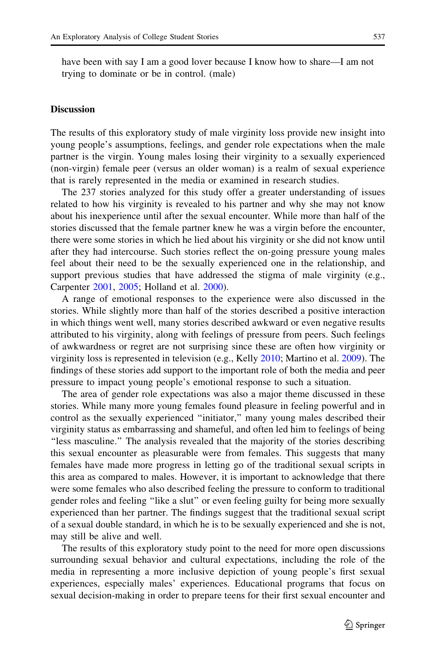have been with say I am a good lover because I know how to share—I am not trying to dominate or be in control. (male)

#### **Discussion**

The results of this exploratory study of male virginity loss provide new insight into young people's assumptions, feelings, and gender role expectations when the male partner is the virgin. Young males losing their virginity to a sexually experienced (non-virgin) female peer (versus an older woman) is a realm of sexual experience that is rarely represented in the media or examined in research studies.

The 237 stories analyzed for this study offer a greater understanding of issues related to how his virginity is revealed to his partner and why she may not know about his inexperience until after the sexual encounter. While more than half of the stories discussed that the female partner knew he was a virgin before the encounter, there were some stories in which he lied about his virginity or she did not know until after they had intercourse. Such stories reflect the on-going pressure young males feel about their need to be the sexually experienced one in the relationship, and support previous studies that have addressed the stigma of male virginity (e.g., Carpenter [2001,](#page-13-0) [2005;](#page-13-0) Holland et al. [2000\)](#page-13-0).

A range of emotional responses to the experience were also discussed in the stories. While slightly more than half of the stories described a positive interaction in which things went well, many stories described awkward or even negative results attributed to his virginity, along with feelings of pressure from peers. Such feelings of awkwardness or regret are not surprising since these are often how virginity or virginity loss is represented in television (e.g., Kelly [2010;](#page-14-0) Martino et al. [2009](#page-14-0)). The findings of these stories add support to the important role of both the media and peer pressure to impact young people's emotional response to such a situation.

The area of gender role expectations was also a major theme discussed in these stories. While many more young females found pleasure in feeling powerful and in control as the sexually experienced ''initiator,'' many young males described their virginity status as embarrassing and shameful, and often led him to feelings of being ''less masculine.'' The analysis revealed that the majority of the stories describing this sexual encounter as pleasurable were from females. This suggests that many females have made more progress in letting go of the traditional sexual scripts in this area as compared to males. However, it is important to acknowledge that there were some females who also described feeling the pressure to conform to traditional gender roles and feeling ''like a slut'' or even feeling guilty for being more sexually experienced than her partner. The findings suggest that the traditional sexual script of a sexual double standard, in which he is to be sexually experienced and she is not, may still be alive and well.

The results of this exploratory study point to the need for more open discussions surrounding sexual behavior and cultural expectations, including the role of the media in representing a more inclusive depiction of young people's first sexual experiences, especially males' experiences. Educational programs that focus on sexual decision-making in order to prepare teens for their first sexual encounter and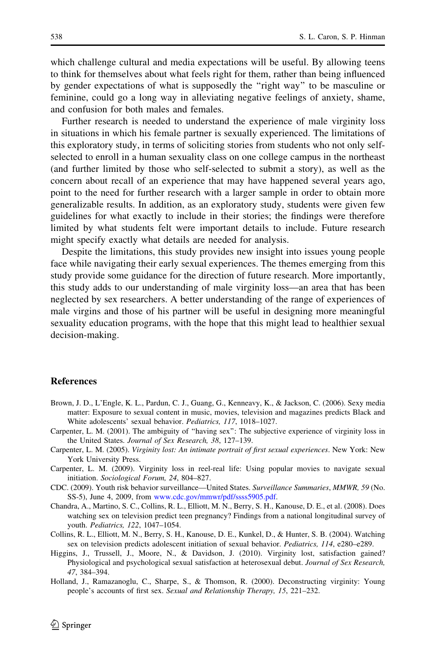<span id="page-13-0"></span>which challenge cultural and media expectations will be useful. By allowing teens to think for themselves about what feels right for them, rather than being influenced by gender expectations of what is supposedly the ''right way'' to be masculine or feminine, could go a long way in alleviating negative feelings of anxiety, shame, and confusion for both males and females.

Further research is needed to understand the experience of male virginity loss in situations in which his female partner is sexually experienced. The limitations of this exploratory study, in terms of soliciting stories from students who not only selfselected to enroll in a human sexuality class on one college campus in the northeast (and further limited by those who self-selected to submit a story), as well as the concern about recall of an experience that may have happened several years ago, point to the need for further research with a larger sample in order to obtain more generalizable results. In addition, as an exploratory study, students were given few guidelines for what exactly to include in their stories; the findings were therefore limited by what students felt were important details to include. Future research might specify exactly what details are needed for analysis.

Despite the limitations, this study provides new insight into issues young people face while navigating their early sexual experiences. The themes emerging from this study provide some guidance for the direction of future research. More importantly, this study adds to our understanding of male virginity loss—an area that has been neglected by sex researchers. A better understanding of the range of experiences of male virgins and those of his partner will be useful in designing more meaningful sexuality education programs, with the hope that this might lead to healthier sexual decision-making.

#### References

- Brown, J. D., L'Engle, K. L., Pardun, C. J., Guang, G., Kenneavy, K., & Jackson, C. (2006). Sexy media matter: Exposure to sexual content in music, movies, television and magazines predicts Black and White adolescents' sexual behavior. Pediatrics, 117, 1018–1027.
- Carpenter, L. M. (2001). The ambiguity of ''having sex'': The subjective experience of virginity loss in the United States. Journal of Sex Research, 38, 127–139.
- Carpenter, L. M. (2005). Virginity lost: An intimate portrait of first sexual experiences. New York: New York University Press.
- Carpenter, L. M. (2009). Virginity loss in reel-real life: Using popular movies to navigate sexual initiation. Sociological Forum, 24, 804–827.
- CDC. (2009). Youth risk behavior surveillance—United States. Surveillance Summaries, MMWR, 59 (No. SS-5), June 4, 2009, from [www.cdc.gov/mmwr/pdf/ssss5905.pdf](http://www.cdc.gov/mmwr/pdf/ssss5905.pdf).
- Chandra, A., Martino, S. C., Collins, R. L., Elliott, M. N., Berry, S. H., Kanouse, D. E., et al. (2008). Does watching sex on television predict teen pregnancy? Findings from a national longitudinal survey of youth. Pediatrics, 122, 1047–1054.
- Collins, R. L., Elliott, M. N., Berry, S. H., Kanouse, D. E., Kunkel, D., & Hunter, S. B. (2004). Watching sex on television predicts adolescent initiation of sexual behavior. Pediatrics, 114, e280-e289.
- Higgins, J., Trussell, J., Moore, N., & Davidson, J. (2010). Virginity lost, satisfaction gained? Physiological and psychological sexual satisfaction at heterosexual debut. Journal of Sex Research, 47, 384–394.
- Holland, J., Ramazanoglu, C., Sharpe, S., & Thomson, R. (2000). Deconstructing virginity: Young people's accounts of first sex. Sexual and Relationship Therapy, 15, 221–232.